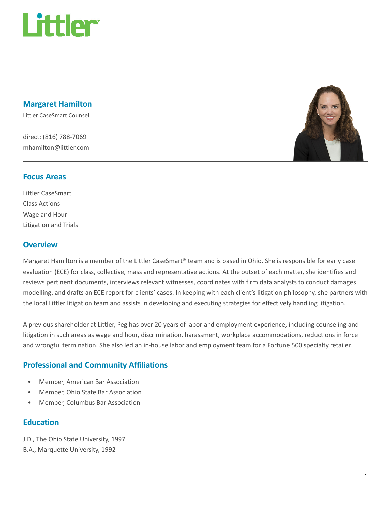

#### Margaret Hamilton

Littler CaseSmart Counsel

direct: (816) 788-7069 mhamilton@littler.com



#### Focus Areas

Littler CaseSmart Class Actions Wage and Hour Litigation and Trials

#### **Overview**

Margaret Hamilton is a member of the Littler CaseSmart® team and is based in Ohio. She is responsible for early case evaluation (ECE) for class, collective, mass and representative actions. At the outset of each matter, she identifies and reviews pertinent documents, interviews relevant witnesses, coordinates with firm data analysts to conduct damages modelling, and drafts an ECE report for clients' cases. In keeping with each client's litigation philosophy, she partners with the local Littler litigation team and assists in developing and executing strategies for effectively handling litigation.

A previous shareholder at Littler, Peg has over 20 years of labor and employment experience, including counseling and litigation in such areas as wage and hour, discrimination, harassment, workplace accommodations, reductions in force and wrongful termination. She also led an in-house labor and employment team for a Fortune 500 specialty retailer.

## Professional and Community Affiliations

- Member, American Bar Association
- Member, Ohio State Bar Association
- Member, Columbus Bar Association

### Education

J.D., The Ohio State University, 1997

B.A., Marquette University, 1992